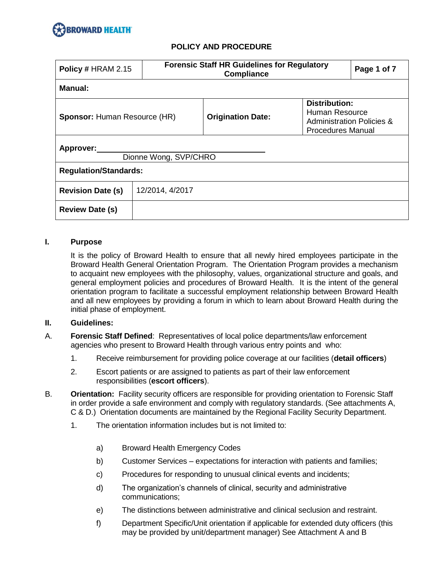

| Policy # HRAM 2.15                  | <b>Forensic Staff HR Guidelines for Regulatory</b><br><b>Compliance</b> |                                                                                                                                        | Page 1 of 7 |  |  |  |
|-------------------------------------|-------------------------------------------------------------------------|----------------------------------------------------------------------------------------------------------------------------------------|-------------|--|--|--|
| Manual:                             |                                                                         |                                                                                                                                        |             |  |  |  |
| <b>Sponsor: Human Resource (HR)</b> |                                                                         | <b>Distribution:</b><br>Human Resource<br><b>Origination Date:</b><br><b>Administration Policies &amp;</b><br><b>Procedures Manual</b> |             |  |  |  |
| Approver:<br>Dionne Wong, SVP/CHRO  |                                                                         |                                                                                                                                        |             |  |  |  |
| <b>Regulation/Standards:</b>        |                                                                         |                                                                                                                                        |             |  |  |  |
| <b>Revision Date (s)</b>            | 12/2014, 4/2017                                                         |                                                                                                                                        |             |  |  |  |
| <b>Review Date (s)</b>              |                                                                         |                                                                                                                                        |             |  |  |  |

### **I. Purpose**

It is the policy of Broward Health to ensure that all newly hired employees participate in the Broward Health General Orientation Program. The Orientation Program provides a mechanism to acquaint new employees with the philosophy, values, organizational structure and goals, and general employment policies and procedures of Broward Health. It is the intent of the general orientation program to facilitate a successful employment relationship between Broward Health and all new employees by providing a forum in which to learn about Broward Health during the initial phase of employment.

### **II. Guidelines:**

- A. **Forensic Staff Defined**: Representatives of local police departments/law enforcement agencies who present to Broward Health through various entry points and who:
	- 1. Receive reimbursement for providing police coverage at our facilities (**detail officers**)
	- 2. Escort patients or are assigned to patients as part of their law enforcement responsibilities (**escort officers**).
- B. **Orientation:** Facility security officers are responsible for providing orientation to Forensic Staff in order provide a safe environment and comply with regulatory standards. (See attachments A, C & D.) Orientation documents are maintained by the Regional Facility Security Department.
	- 1. The orientation information includes but is not limited to:
		- a) Broward Health Emergency Codes
		- b) Customer Services expectations for interaction with patients and families;
		- c) Procedures for responding to unusual clinical events and incidents;
		- d) The organization's channels of clinical, security and administrative communications;
		- e) The distinctions between administrative and clinical seclusion and restraint.
		- f) Department Specific/Unit orientation if applicable for extended duty officers (this may be provided by unit/department manager) See Attachment A and B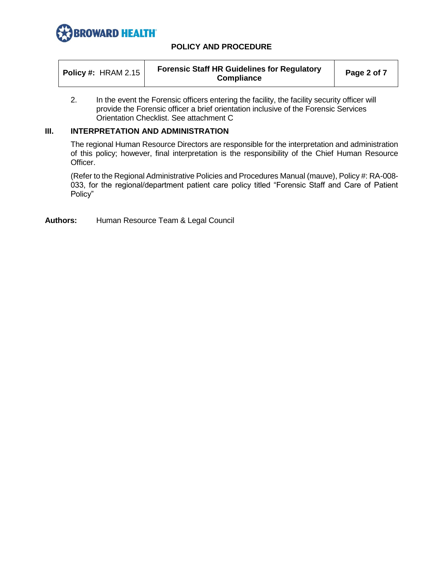

| <b>Forensic Staff HR Guidelines for Regulatory</b><br><b>Policy #: HRAM 2.15</b><br>Compliance | Page 2 of 7 |
|------------------------------------------------------------------------------------------------|-------------|
|------------------------------------------------------------------------------------------------|-------------|

2. In the event the Forensic officers entering the facility, the facility security officer will provide the Forensic officer a brief orientation inclusive of the Forensic Services Orientation Checklist. See attachment C

## **III. INTERPRETATION AND ADMINISTRATION**

The regional Human Resource Directors are responsible for the interpretation and administration of this policy; however, final interpretation is the responsibility of the Chief Human Resource Officer.

(Refer to the Regional Administrative Policies and Procedures Manual (mauve), Policy #: RA-008- 033, for the regional/department patient care policy titled "Forensic Staff and Care of Patient Policy"

**Authors:** Human Resource Team & Legal Council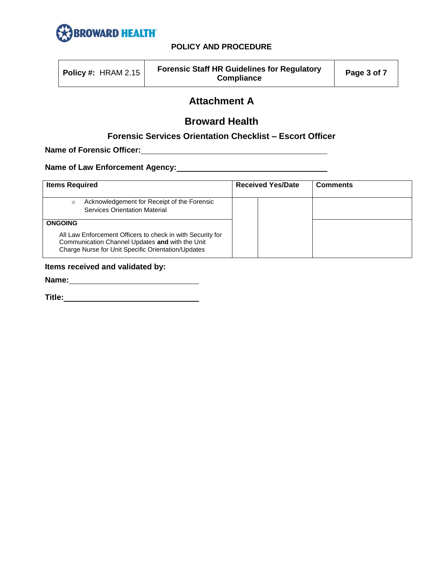

| <b>Policy #: HRAM 2.15</b> | <b>Forensic Staff HR Guidelines for Regulatory</b><br><b>Compliance</b> | Page 3 of 7 |
|----------------------------|-------------------------------------------------------------------------|-------------|
|----------------------------|-------------------------------------------------------------------------|-------------|

# **Attachment A**

## **Broward Health**

## **Forensic Services Orientation Checklist – Escort Officer**

**Name of Forensic Officer:**

**Name of Law Enforcement Agency:**

| <b>Items Required</b>                                                                                                                                                                 | <b>Received Yes/Date</b> | <b>Comments</b> |
|---------------------------------------------------------------------------------------------------------------------------------------------------------------------------------------|--------------------------|-----------------|
| Acknowledgement for Receipt of the Forensic<br>$\circ$<br><b>Services Orientation Material</b>                                                                                        |                          |                 |
| <b>ONGOING</b><br>All Law Enforcement Officers to check in with Security for<br>Communication Channel Updates and with the Unit<br>Charge Nurse for Unit Specific Orientation/Updates |                          |                 |

## **Items received and validated by:**

**Name:**

**Title:**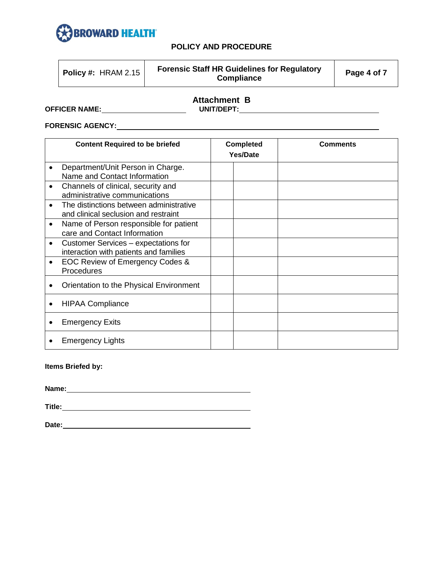

|--|

|                      | <b>Attachment B</b> |
|----------------------|---------------------|
| <b>OFFICER NAME:</b> | UNIT/DEPT:          |

**FORENSIC AGENCY:**

| <b>Content Required to be briefed</b> |                                                                                 |  | <b>Completed</b><br>Yes/Date | <b>Comments</b> |
|---------------------------------------|---------------------------------------------------------------------------------|--|------------------------------|-----------------|
|                                       | Department/Unit Person in Charge.<br>Name and Contact Information               |  |                              |                 |
|                                       | Channels of clinical, security and<br>administrative communications             |  |                              |                 |
| $\bullet$                             | The distinctions between administrative<br>and clinical seclusion and restraint |  |                              |                 |
|                                       | Name of Person responsible for patient<br>care and Contact Information          |  |                              |                 |
| $\bullet$                             | Customer Services - expectations for<br>interaction with patients and families  |  |                              |                 |
|                                       | EOC Review of Emergency Codes &<br>Procedures                                   |  |                              |                 |
|                                       | Orientation to the Physical Environment                                         |  |                              |                 |
|                                       | <b>HIPAA Compliance</b>                                                         |  |                              |                 |
|                                       | <b>Emergency Exits</b>                                                          |  |                              |                 |
|                                       | <b>Emergency Lights</b>                                                         |  |                              |                 |

## **Items Briefed by:**

**Name:**

**Title:**

**Date:**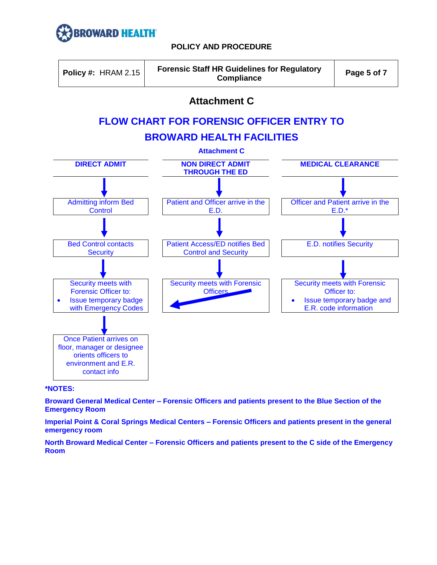



## **Attachment C**

# **FLOW CHART FOR FORENSIC OFFICER ENTRY TO**

## **BROWARD HEALTH FACILITIES**



### **\*NOTES:**

**Broward General Medical Center – Forensic Officers and patients present to the Blue Section of the Emergency Room**

**Imperial Point & Coral Springs Medical Centers – Forensic Officers and patients present in the general emergency room**

**North Broward Medical Center – Forensic Officers and patients present to the C side of the Emergency Room**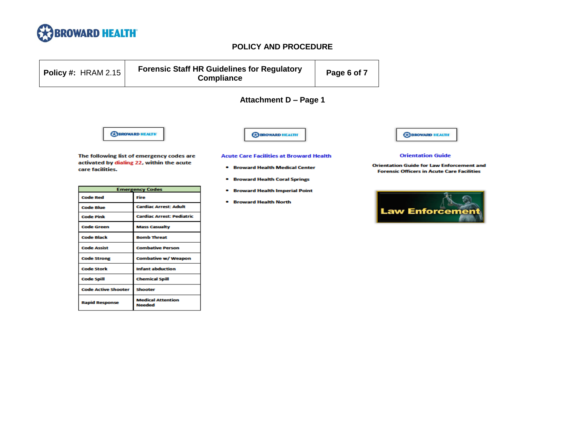

**Code Assist** 

**Code Strong** 

**Code Stork Code Spill** 

**Code Active Shooter** 

**Rapid Response** 

**Combative Person** 

**Chemical Spill** 

**Medical Attention** 

Shooter

**Needed** 

**Combative w/ Weapon Infant abduction** 

## **POLICY AND PROCEDURE**

| <b>Policy #: HRAM 2.15</b> |                                                                                        | <b>Forensic Staff HR Guidelines for Regulatory</b><br><b>Compliance</b>                                                                 | Page 6 of 7 |                                                                                                                                   |
|----------------------------|----------------------------------------------------------------------------------------|-----------------------------------------------------------------------------------------------------------------------------------------|-------------|-----------------------------------------------------------------------------------------------------------------------------------|
|                            |                                                                                        | Attachment D - Page 1                                                                                                                   |             |                                                                                                                                   |
|                            | <b>REBROWARD HEALTH</b>                                                                | <b>CO BROWARD HEALTH</b>                                                                                                                |             | <b>COBROWARD HEALTH</b>                                                                                                           |
| care facilities.           | The following list of emergency codes are<br>activated by dialing 22, within the acute | <b>Acute Care Facilities at Broward Health</b><br><b>Broward Health Medical Center</b><br>۰<br><b>Broward Health Coral Springs</b><br>۰ |             | <b>Orientation Guide</b><br><b>Orientation Guide for Law Enforcement and</b><br><b>Forensic Officers in Acute Care Facilities</b> |
|                            | <b>Emergency Codes</b>                                                                 | <b>Broward Health Imperial Point</b><br>۰                                                                                               |             |                                                                                                                                   |
| <b>Code Red</b>            | Fire                                                                                   | <b>Broward Health North</b><br>۰                                                                                                        |             |                                                                                                                                   |
| <b>Code Blue</b>           | <b>Cardiac Arrest: Adult</b>                                                           |                                                                                                                                         |             | <b>Law Enforcement</b>                                                                                                            |
| <b>Code Pink</b>           | <b>Cardiac Arrest: Pediatric</b>                                                       |                                                                                                                                         |             |                                                                                                                                   |
| <b>Code Green</b>          | <b>Mass Casualty</b>                                                                   |                                                                                                                                         |             |                                                                                                                                   |
| Code Black                 | <b>Bomb Threat</b>                                                                     |                                                                                                                                         |             |                                                                                                                                   |